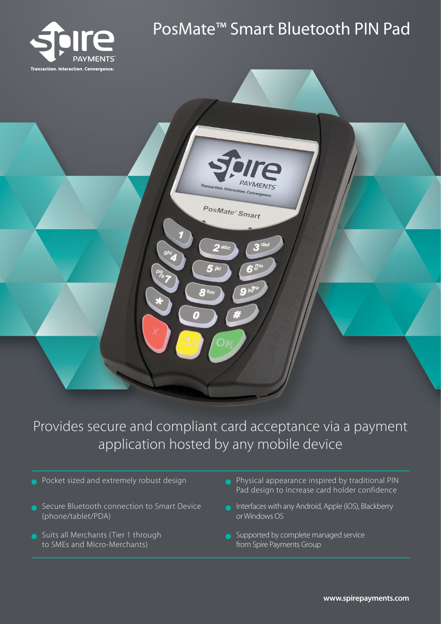

# PosMate™ Smart Bluetooth PIN Pad



# Provides secure and compliant card acceptance via a payment application hosted by any mobile device

- Pocket sized and extremely robust design
- Secure Bluetooth connection to Smart Device (phone/tablet/PDA)
- **Suits all Merchants (Tier 1 through** to SMEs and Micro-Merchants)
- Physical appearance inspired by traditional PIN Pad design to increase card holder confidence
- Interfaces with any Android, Apple (iOS), Blackberry or Windows OS
- Supported by complete managed service from Spire Payments Group